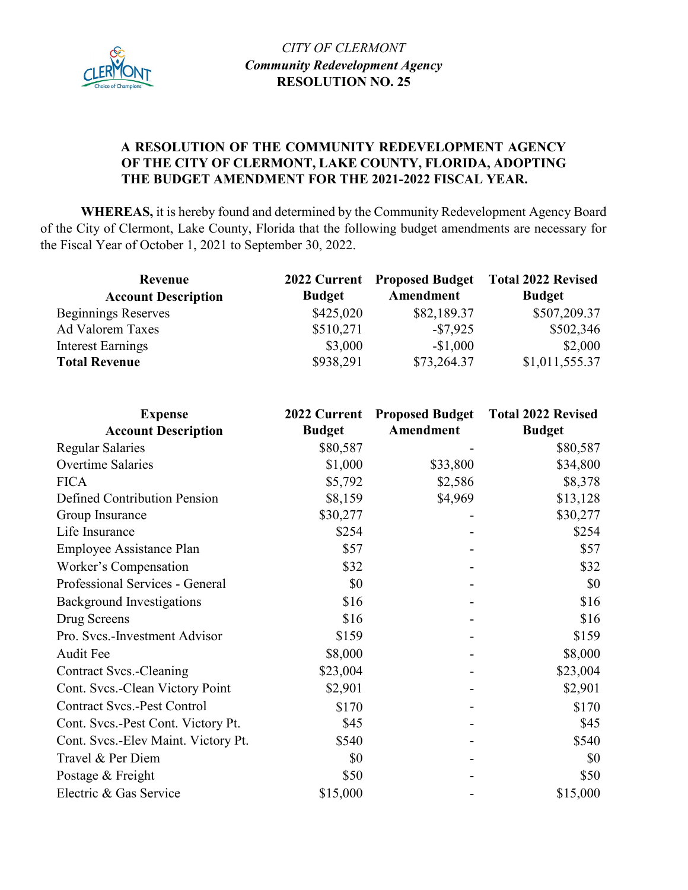

## **A RESOLUTION OF THE COMMUNITY REDEVELOPMENT AGENCY OF THE CITY OF CLERMONT, LAKE COUNTY, FLORIDA, ADOPTING THE BUDGET AMENDMENT FOR THE 2021-2022 FISCAL YEAR.**

**WHEREAS,** it is hereby found and determined by the Community Redevelopment Agency Board of the City of Clermont, Lake County, Florida that the following budget amendments are necessary for the Fiscal Year of October 1, 2021 to September 30, 2022.

| Revenue                    |               |             | 2022 Current Proposed Budget Total 2022 Revised |
|----------------------------|---------------|-------------|-------------------------------------------------|
| <b>Account Description</b> | <b>Budget</b> | Amendment   | <b>Budget</b>                                   |
| <b>Beginnings Reserves</b> | \$425,020     | \$82,189.37 | \$507,209.37                                    |
| <b>Ad Valorem Taxes</b>    | \$510,271     | $-\$7,925$  | \$502,346                                       |
| Interest Earnings          | \$3,000       | $-$1,000$   | \$2,000                                         |
| <b>Total Revenue</b>       | \$938,291     | \$73,264.37 | \$1,011,555.37                                  |

| <b>Expense</b>                      | 2022 Current  |           | <b>Proposed Budget</b> Total 2022 Revised |
|-------------------------------------|---------------|-----------|-------------------------------------------|
| <b>Account Description</b>          | <b>Budget</b> | Amendment | <b>Budget</b>                             |
| <b>Regular Salaries</b>             | \$80,587      |           | \$80,587                                  |
| Overtime Salaries                   | \$1,000       | \$33,800  | \$34,800                                  |
| <b>FICA</b>                         | \$5,792       | \$2,586   | \$8,378                                   |
| Defined Contribution Pension        | \$8,159       | \$4,969   | \$13,128                                  |
| Group Insurance                     | \$30,277      |           | \$30,277                                  |
| Life Insurance                      | \$254         |           | \$254                                     |
| Employee Assistance Plan            | \$57          |           | \$57                                      |
| Worker's Compensation               | \$32          |           | \$32                                      |
| Professional Services - General     | \$0           |           | \$0                                       |
| <b>Background Investigations</b>    | \$16          |           | \$16                                      |
| Drug Screens                        | \$16          |           | \$16                                      |
| Pro. Svcs.-Investment Advisor       | \$159         |           | \$159                                     |
| Audit Fee                           | \$8,000       |           | \$8,000                                   |
| <b>Contract Svcs.-Cleaning</b>      | \$23,004      |           | \$23,004                                  |
| Cont. Svcs.-Clean Victory Point     | \$2,901       |           | \$2,901                                   |
| <b>Contract Svcs.-Pest Control</b>  | \$170         |           | \$170                                     |
| Cont. Svcs.-Pest Cont. Victory Pt.  | \$45          |           | \$45                                      |
| Cont. Svcs.-Elev Maint. Victory Pt. | \$540         |           | \$540                                     |
| Travel & Per Diem                   | \$0           |           | \$0                                       |
| Postage & Freight                   | \$50          |           | \$50                                      |
| Electric & Gas Service              | \$15,000      |           | \$15,000                                  |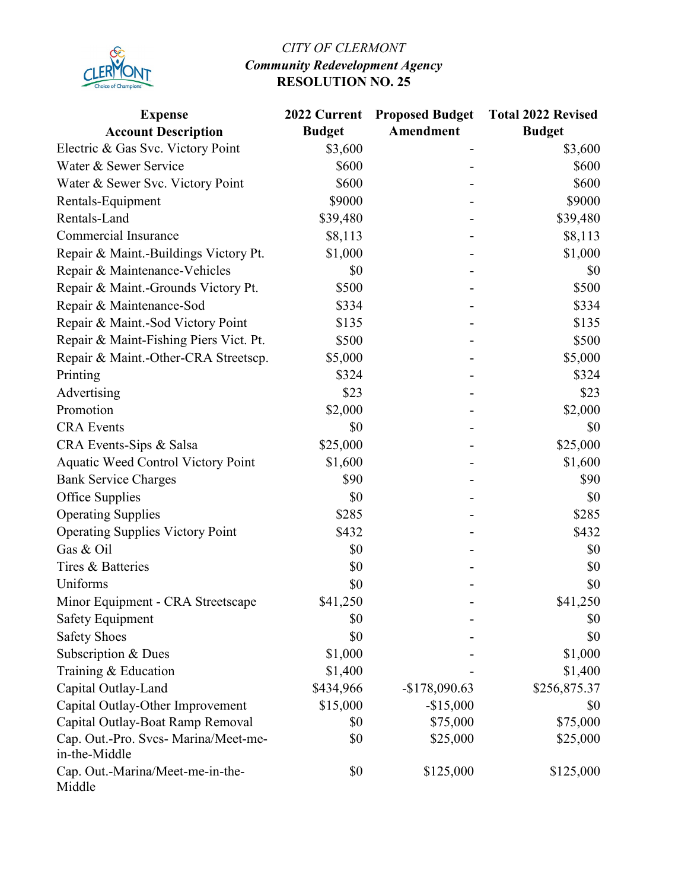

## *CITY OF CLERMONT Community Redevelopment Agency*  **RESOLUTION NO. 25**

| <b>Expense</b><br><b>Account Description</b>          | 2022 Current<br><b>Budget</b> | <b>Proposed Budget</b><br>Amendment | <b>Total 2022 Revised</b><br><b>Budget</b> |
|-------------------------------------------------------|-------------------------------|-------------------------------------|--------------------------------------------|
| Electric & Gas Svc. Victory Point                     | \$3,600                       |                                     | \$3,600                                    |
| Water & Sewer Service                                 | \$600                         |                                     | \$600                                      |
| Water & Sewer Svc. Victory Point                      | \$600                         |                                     | \$600                                      |
| Rentals-Equipment                                     | \$9000                        |                                     | \$9000                                     |
| Rentals-Land                                          | \$39,480                      |                                     | \$39,480                                   |
| <b>Commercial Insurance</b>                           | \$8,113                       |                                     | \$8,113                                    |
| Repair & Maint.-Buildings Victory Pt.                 | \$1,000                       |                                     | \$1,000                                    |
| Repair & Maintenance-Vehicles                         | \$0                           |                                     | \$0                                        |
| Repair & Maint.-Grounds Victory Pt.                   | \$500                         |                                     | \$500                                      |
| Repair & Maintenance-Sod                              | \$334                         |                                     | \$334                                      |
| Repair & Maint.-Sod Victory Point                     | \$135                         |                                     | \$135                                      |
| Repair & Maint-Fishing Piers Vict. Pt.                | \$500                         |                                     | \$500                                      |
| Repair & Maint.-Other-CRA Streetscp.                  | \$5,000                       |                                     | \$5,000                                    |
| Printing                                              | \$324                         |                                     | \$324                                      |
| Advertising                                           | \$23                          |                                     | \$23                                       |
| Promotion                                             | \$2,000                       |                                     | \$2,000                                    |
| <b>CRA</b> Events                                     | \$0                           |                                     | \$0                                        |
| CRA Events-Sips & Salsa                               | \$25,000                      |                                     | \$25,000                                   |
| <b>Aquatic Weed Control Victory Point</b>             | \$1,600                       |                                     | \$1,600                                    |
| <b>Bank Service Charges</b>                           | \$90                          |                                     | \$90                                       |
| Office Supplies                                       | \$0                           |                                     | \$0                                        |
| <b>Operating Supplies</b>                             | \$285                         |                                     | \$285                                      |
| <b>Operating Supplies Victory Point</b>               | \$432                         |                                     | \$432                                      |
| Gas & Oil                                             | \$0                           |                                     | \$0                                        |
| Tires & Batteries                                     | \$0                           |                                     | \$0                                        |
| Uniforms                                              | \$0                           |                                     | \$0                                        |
| Minor Equipment - CRA Streetscape                     | \$41,250                      |                                     | \$41,250                                   |
| Safety Equipment                                      | \$0                           |                                     | \$0                                        |
| <b>Safety Shoes</b>                                   | \$0                           |                                     | \$0                                        |
| Subscription & Dues                                   | \$1,000                       |                                     | \$1,000                                    |
| Training & Education                                  | \$1,400                       |                                     | \$1,400                                    |
| Capital Outlay-Land                                   | \$434,966                     | $-$178,090.63$                      | \$256,875.37                               |
| Capital Outlay-Other Improvement                      | \$15,000                      | $-$15,000$                          | \$0                                        |
| Capital Outlay-Boat Ramp Removal                      | \$0                           | \$75,000                            | \$75,000                                   |
| Cap. Out.-Pro. Svcs- Marina/Meet-me-<br>in-the-Middle | \$0                           | \$25,000                            | \$25,000                                   |
| Cap. Out.-Marina/Meet-me-in-the-<br>Middle            | \$0                           | \$125,000                           | \$125,000                                  |